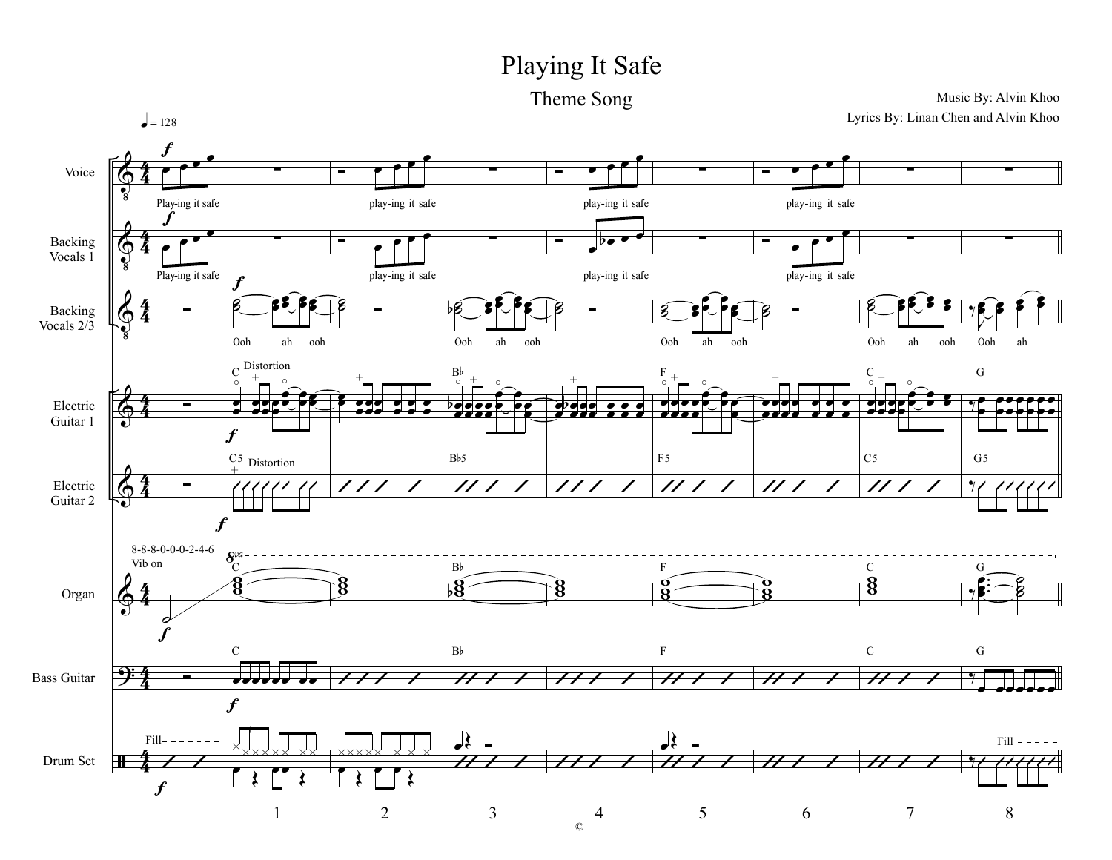## Playing It Safe

Theme Song

Music By: Alvin Khoo

Lyrics By: Linan Chen and Alvin Khoo  $l = 128$ Voice Play-ing it safe play-ing it safe play-ing it safe play-ing it safe  $\boldsymbol{f}$ Backing Vocals  $\overline{1}$ play-ing it safe Play-ing it safe play-ing it safe play-ing it safe Backing Vocals  $2\overline{3}$ Ooh\_  $=$  ah  $=$  ooh  $=$ Ooh \_\_\_\_ ah \_\_\_ ooh \_ Ooh.  $-$ ah  $\_\$ ooh Ooh \_\_ ah \_\_ ooh Ooh ah  $C$  Distortion  ${\bf G}$  $\overline{F}$  $B<sub>b</sub>$ Electric  $\overrightarrow{1}$  $\overline{\phantom{a}a}$   $\overline{\phantom{a}a}$   $\overline{\phantom{a}a}$  $\bullet\bullet\bullet$  $\bullet$   $\bullet$   $\bullet$ Guitar 1  $Bb5$  $F<sub>5</sub>$  $C<sub>5</sub>$  $C_5$  Distortion  $G<sub>5</sub>$ Electric 77 Guitar 2  $\vec{v}$  $\boldsymbol{f}$  $8 - 8 - 8 - 0 - 0 - 0 - 2 - 4 - 6$  $\overline{a}$ Vib on  $B<sup>b</sup>$  $\overline{F}$  $\mathbf C$ G  $\exists \xi$ Organ  $\vec{v}$  $B<sub>b</sub>$  $\mathbf C$  $\rm F$  ${\bf G}$  $\Theta$ **Bass Guitar** .....  $Fill - -$ TTT.  $Fill - ---$ Drum Set  $\mathbf{H}$  $\boldsymbol{f}$  $\mathbf{1}$  $\overline{2}$ 3 5 6  $\overline{7}$  $8\,$  $\overline{4}$  $\circledcirc$